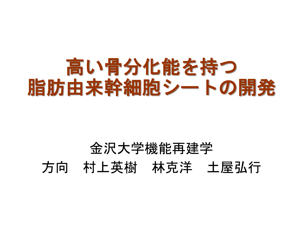# 高い骨分化能を持つ 脂肪由来幹細胞シートの開発

#### 金沢大学機能再建学 方向 村上英樹 林克洋 土屋弘行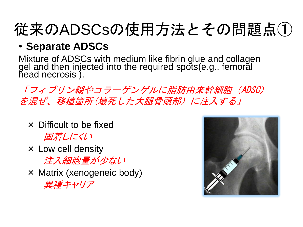# 従来のADSCsの使用方法とその問題点①

#### • **Separate ADSCs**

Mixture of ADSCs with medium like fibrin glue and collagen gel and then injected into the required spots(e.g., femoral head necrosis ).

「フィブリン糊やコラーゲンゲルに脂肪由来幹細胞(ADSC) を混ぜ、移植箇所(壊死した大腿骨頭部)に注入する」

- × Difficult to be fixed 固着しにくい
- $\times$  Low cell density 注入細胞量が少ない
- × Matrix (xenogeneic body) 異種キャリア

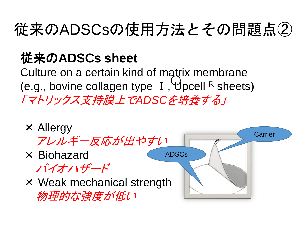## 従来のADSCsの使用方法とその問題点②

#### 従来の**ADSCs sheet**

Culture on a certain kind of matrix membrane (e.g., bovine collagen type I, Upcell R sheets) 「マトリックス支持膜上で*ADSC*を培養する」

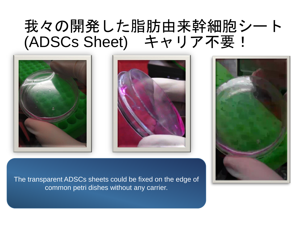#### 我々の開発した脂肪由来幹細胞シート (ADSCs Sheet) キャリア不要!







The transparent ADSCs sheets could be fixed on the edge of common petri dishes without any carrier.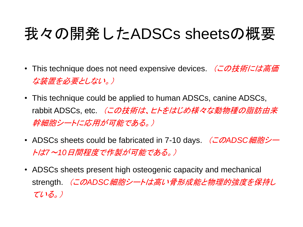### 我々の開発したADSCs sheetsの概要

- This technique does not need expensive devices. (この技術には高価 な装置を必要としない。)
- This technique could be applied to human ADSCs, canine ADSCs, rabbit ADSCs, etc. *(この技術は、ヒトをはじめ様々な動物種の脂肪由来* 幹細胞シートに応用が可能である。)
- ADSCs sheets could be fabricated in 7-10 days. (この*ADSC*細胞シー トは*7*~*10*日間程度で作製が可能である。)
- ADSCs sheets present high osteogenic capacity and mechanical strength. (この*ADSC*細胞シートは高い骨形成能と物理的強度を保持し ている。)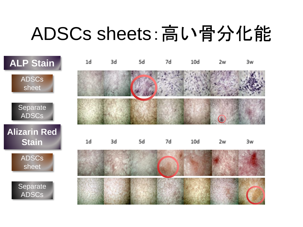# ADSCs sheets:高い骨分化能

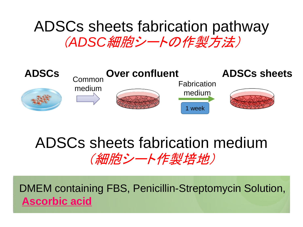#### ADSCs sheets fabrication pathway (*ADSC*細胞シートの作製方法)



#### ADSCs sheets fabrication medium (細胞シート作製培地)

DMEM containing FBS, Penicillin-Streptomycin Solution, **Ascorbic acid**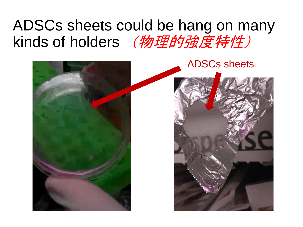### ADSCs sheets could be hang on many kinds of holders (物理的強度特性)

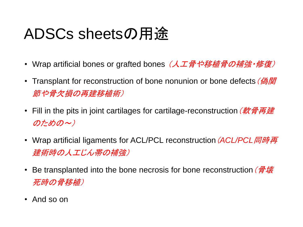### ADSCs sheetsの用途

- ・ Wrap artificial bones or grafted bones*(人工骨や移植骨の補強・修復)*
- Transplant for reconstruction of bone nonunion or bone defects (偽関 節や骨欠損の再建移植術)
- Fill in the pits in joint cartilages for cartilage-reconstruction (軟骨再建 のための~)
- Wrap artificial ligaments for ACL/PCL reconstruction(*ACL/PCL*同時再 建術時の人工じん帯の補強)
- Be transplanted into the bone necrosis for bone reconstruction (*骨壊* 死時の骨移植)
- And so on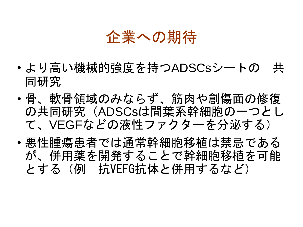#### 企業への期待

- より高い機械的強度を持つADSCsシートの 共 同研究
- 骨、軟骨領域のみならず、筋肉や創傷面の修復 の共同研究(ADSCsは間葉系幹細胞の一つとし て、VEGFなどの液性ファクターを分泌する)
- 悪性腫瘍患者では通常幹細胞移植は禁忌である が、併用薬を開発することで幹細胞移植を可能 とする(例 抗VEFG抗体と併用するなど)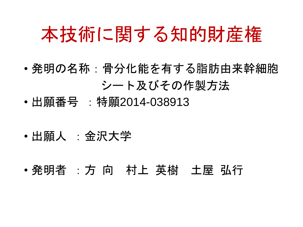### 本技術に関する知的財産権

- 発明の名称:骨分化能を有する脂肪由来幹細胞 シート及びその作製方法
- 出願番号 :特願2014-038913
- 出願人 :金沢大学
- 発明者 :方 向 村上 英樹 土屋 弘行